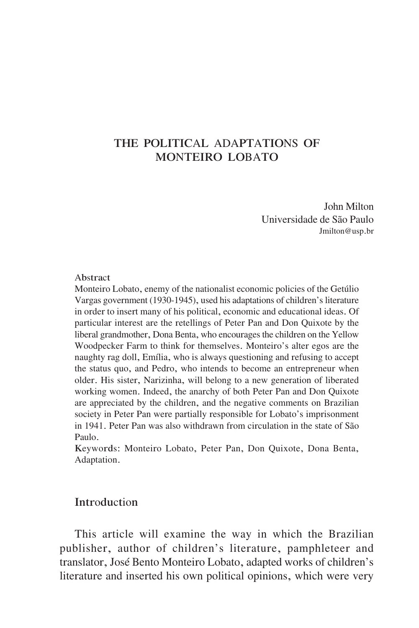# THE POLITICAL ADAPTATIONS OF MONTEIRO LOBATO

John Milton <sup>U</sup>niversidade de São Paulo Jmilton@usp.br

#### Abstract

Monteiro Lobato, enemy of the nationalist economic policies of the Getúlio Vargas government (1930-1945), used his adaptations of children's literature in order to insert many of his political, economic and educational ideas. Of particular interest are the retellings of Peter Pan and <sup>D</sup>on Quixote by the liberal grandmother, Dona Benta, who encourages the children on the Yellow Woodpecker Farm to think for themselves. Monteiro's alter egos are the naughty rag doll, Emília, who is always questioning and refusing to accept the status quo, and Pedro, who intends to become an entrepreneur when older. His sister, <sup>N</sup>arizinha, will belong to a new generation of liberated working women. Indeed, the anarchy of both Peter Pan and <sup>D</sup>on Quixote are appreciated by the children, and the negative comments on Brazilian society in Peter Pan were partially responsible for Lobato's imprisonment in 1941. Peter Pan was also withdrawn from circulation in the state of São Paulo.

Keywords: Monteiro Lobato, Peter Pan, <sup>D</sup>on Quixote, <sup>D</sup>ona Benta, Adaptation.

# **Introduction**

This article will examine the way in which the Brazilian publisher, author of children's literature, pamphleteer and translator, José Bento Monteiro Lobato, adapted works of children's literature and inserted his own political opinions, which were very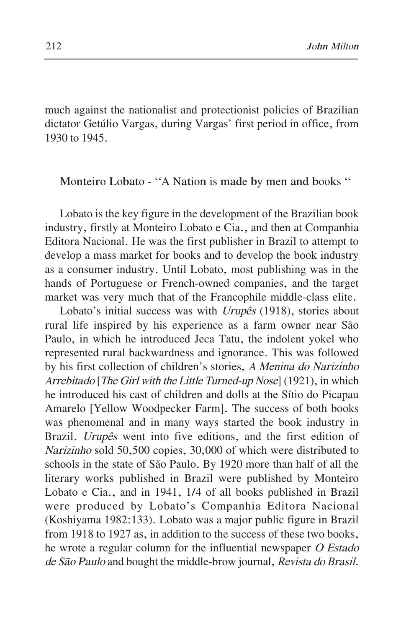much against the nationalist and protectionist policies of Brazilian dictator Getúlio Vargas, during Vargas' first period in office, from 1930 to 1945.

# Monteiro Lobato - "A Nation is made by men and books "

Lobato is the key figure in the development of the Brazilian book industry, firstly at Monteiro Lobato e Cia., and then at Companhia Editora <sup>N</sup>acional. He was the first publisher in Brazil to attempt to develop a mass market for books and to develop the book industry as a consumer industry. <sup>U</sup>ntil Lobato, most publishing was in the hands of Portuguese or French-owned companies, and the target market was very much that of the Francophile middle-class elite.

Lobato's initial success was with *Urupês* (1918), stories about rural life inspired by his experience as a farm owner near São Paulo, in which he introduced Jeca Tatu, the indolent yokel who represented rural backwardness and ignorance. This was followed by his first collection of children's stories, <sup>A</sup> <sup>M</sup>enin<sup>a</sup> do <sup>N</sup>arizinho <sup>A</sup>rrebitado [The <sup>G</sup>ir<sup>l</sup> <sup>w</sup>it<sup>h</sup> <sup>t</sup>he <sup>L</sup>ittl<sup>e</sup> <sup>T</sup>u<sup>r</sup>ned-up <sup>N</sup>ose] (1921), in which he introduced his cast of children and dolls at the Sítio do Picapau Amarelo [Yellow Woodpecker Farm]. The success of both books was phenomenal and in many ways started the book industry in Brazil. <sup>U</sup>rupê<sup>s</sup> went into five editions, and the first edition of <sup>N</sup>arizinho sold 50,500 copies, 30,000 of which were distributed to schools in the state of São Paulo. By 1920 more than half of all the literary works published in Brazil were published by Monteiro Lobato e Cia., and in 1941, 1/4 of all books published in Brazil were produced by Lobato's Companhia Editora <sup>N</sup>acional (Koshiyama 1982:133). Lobato was a major public figure in Brazil from 1918 to 1927 as, in addition to the success of these two books, he wrote a regular column for the influential newspaper <sup>O</sup> <sup>E</sup>stado de <sup>S</sup>ã<sup>o</sup> <sup>P</sup>aul<sup>o</sup> and bought the middle-brow journal, <sup>R</sup>evist<sup>a</sup> do <sup>B</sup>rasil.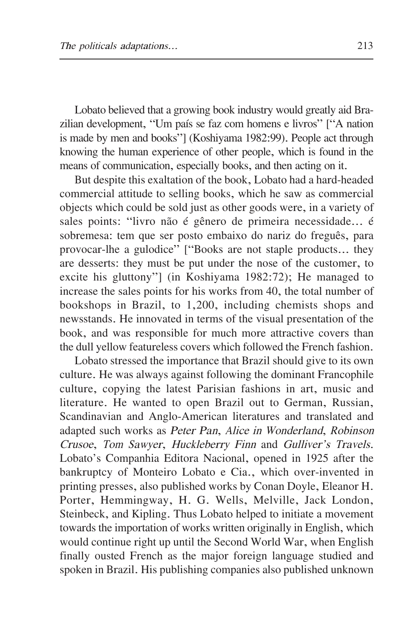Lobato believed that a growing book industry would greatly aid Brazilian development, "Um país se faz com homens e livros" ["A nation is made by men and books"] (Koshiyama 1982:99). People act through knowing the human experience of other people, which is found in the means of communication, especially books, and then acting on it.

But despite this exaltation of the book, Lobato had a hard-headed commercial attitude to selling books, which he saw as commercial objects which could be sold just as other goods were, in a variety of sales points: "livro não é gênero de primeira necessidade... é sobremesa: tem que ser posto embaixo do nariz do freguês, para provocar-lhe a gulodice" ["Books are not staple products... they are desserts: they must be put under the nose of the customer, to excite his gluttony"] (in Koshiyama 1982:72); He managed to increase the sales points for his works from 40, the total number of bookshops in Brazil, to 1,200, including chemists shops and newsstands. He innovated in terms of the visual presentation of the book, and was responsible for much more attractive covers than the dull yellow featureless covers which followed the French fashion.

Lobato stressed the importance that Brazil should give to its own culture. He was always against following the dominant Francophile culture, copying the latest Parisian fashions in art, music and literature. He wanted to open Brazil out to German, Russian, Scandinavian and Anglo-American literatures and translated and adapted such works as <sup>P</sup>ete<sup>r</sup> <sup>P</sup>an, <sup>A</sup>lice <sup>i</sup><sup>n</sup> <sup>W</sup>onderland, <sup>R</sup>obinson <sup>C</sup><sup>r</sup>usoe, <sup>T</sup>o<sup>m</sup> <sup>S</sup><sup>a</sup>wyer, <sup>H</sup>uckleberr<sup>y</sup> <sup>F</sup>inn and <sup>G</sup>ulliver'<sup>s</sup> <sup>T</sup>rav<sup>e</sup>ls. Lobato's Companhia Editora <sup>N</sup>acional, opened in 1925 after the bankruptcy of Monteiro Lobato e Cia., which over-invented in printing presses, also published works by Conan <sup>D</sup>oyle, Eleanor H. Porter, Hemmingway, H. G. Wells, Melville, Jack London, Steinbeck, and Kipling. Thus Lobato helped to initiate a movement towards the importation of works written originally in English, which would continue right up until the Second World War, when English finally ousted French as the major foreign language studied and spoken in Brazil. His publishing companies also published unknown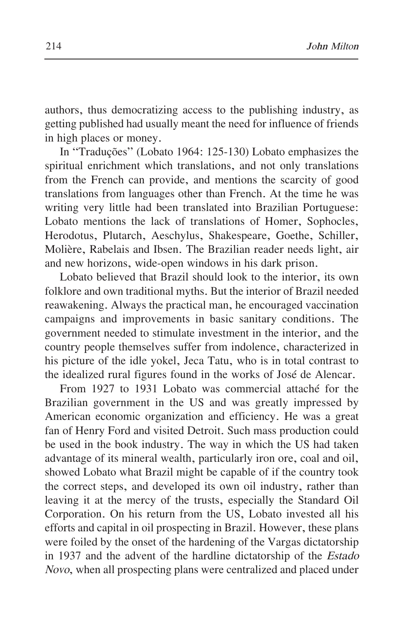authors, thus democratizing access to the publishing industry, as getting published had usually meant the need for influence of friends in high places or money.

In "Traduções" (Lobato 1964: 125-130) Lobato emphasizes the spiritual enrichment which translations, and not only translations from the French can provide, and mentions the scarcity of good translations from languages other than French. At the time he was writing very little had been translated into Brazilian Portuguese: Lobato mentions the lack of translations of Homer, Sophocles, Herodotus, Plutarch, Aeschylus, Shakespeare, Goethe, Schiller, Molière, Rabelais and Ibsen. The Brazilian reader needs light, air and new horizons, wide-open windows in his dark prison.

Lobato believed that Brazil should look to the interior, its own folklore and own traditional myths. But the interior of Brazil needed reawakening. Always the practical man, he encouraged vaccination campaigns and improvements in basic sanitary conditions. The government needed to stimulate investment in the interior, and the country people themselves suffer from indolence, characterized in his picture of the idle yokel, Jeca Tatu, who is in total contrast to the idealized rural figures found in the works of José de Alencar.

From 1927 to 1931 Lobato was commercial attaché for the Brazilian government in the <sup>U</sup>S and was greatly impressed by American economic organization and efficiency. He was a great fan of Henry Ford and visited <sup>D</sup>etroit. Such mass production could be used in the book industry. The way in which the <sup>U</sup>S had taken advantage of its mineral wealth, particularly iron ore, coal and oil, showed Lobato what Brazil might be capable of if the country took the correct steps, and developed its own oil industry, rather than leaving it at the mercy of the trusts, especially the Standard Oil Corporation. On his return from the <sup>U</sup>S, Lobato invested all his efforts and capital in oil prospecting in Brazil. However, these plans were foiled by the onset of the hardening of the Vargas dictatorship in 1937 and the advent of the hardline dictatorship of the <sup>E</sup>stado <sup>N</sup><sup>o</sup>v<sup>o</sup>, when all prospecting plans were centralized and placed under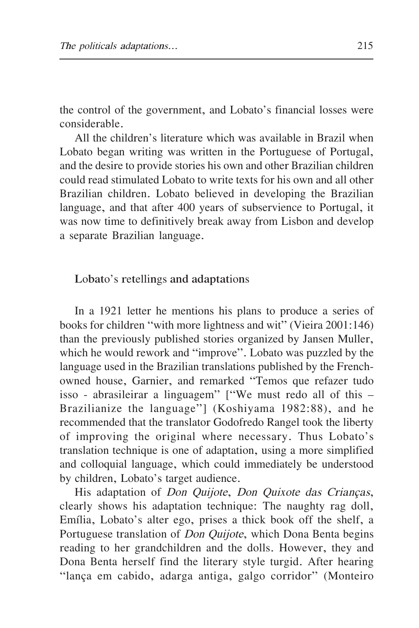the control of the government, and Lobato's financial losses were considerable.

All the children's literature which was available in Brazil when Lobato began writing was written in the Portuguese of Portugal, and the desire to provide stories his own and other Brazilian children could read stimulated Lobato to write texts for his own and all other Brazilian children. Lobato believed in developing the Brazilian language, and that after 400 years of subservience to Portugal, it was now time to definitively break away from Lisbon and develop a separate Brazilian language.

### Lobato's retellings and adaptations

In a 1921 letter he mentions his plans to produce a series of books for children "with more lightness and wit" (Vieira 2001:146) than the previously published stories organized by Jansen Muller, which he would rework and "improve". Lobato was puzzled by the language used in the Brazilian translations published by the Frenchowned house, Garnier, and remarked "Temos que refazer tudo isso - abrasileirar a linguagem" ["We must redo all of this – Brazilianize the language"] (Koshiyama 1982:88), and he recommended that the translator Godofredo Rangel took the liberty of improving the original where necessary. Thus Lobato's translation technique is one of adaptation, using a more simplified and colloquial language, which could immediately be understood by children, Lobato's target audience.

His adaptation of *Don Quijote*, *Don Quixote das Crianças*, clearly shows his adaptation technique: The naughty rag doll, Emília, Lobato's alter ego, prises a thick book off the shelf, a Portuguese translation of *Don Quijote*, which Dona Benta begins reading to her grandchildren and the dolls. However, they and <sup>D</sup>ona Benta herself find the literary style turgid. After hearing "lança em cabido, adarga antiga, galgo corridor" (Monteiro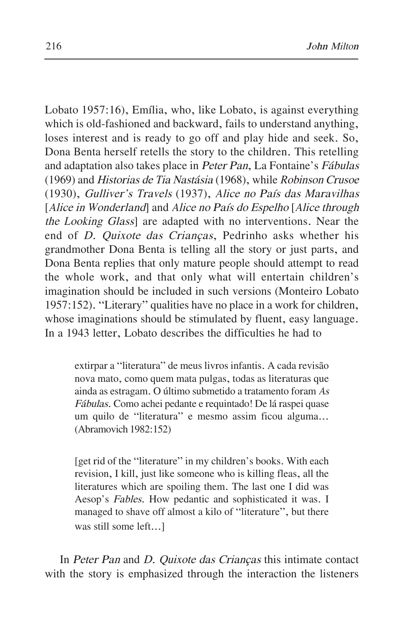Lobato 1957:16), Emília, who, like Lobato, is against everything which is old-fashioned and backward, fails to understand anything, loses interest and is ready to go off and play hide and seek. So, <sup>D</sup>ona Benta herself retells the story to the children. This retelling and adaptation also takes place in <sup>P</sup>ete<sup>r</sup> <sup>P</sup>an, La Fontaine's <sup>F</sup>ábula<sup>s</sup> (1969) and <sup>H</sup>istoria<sup>s</sup> de <sup>T</sup>i<sup>a</sup> <sup>N</sup>astási<sup>a</sup> (1968), while <sup>R</sup>obinson <sup>C</sup><sup>r</sup>usoe (1930), <sup>G</sup>ulliver'<sup>s</sup> <sup>T</sup>rav<sup>e</sup>ls (1937), <sup>A</sup>lice no <sup>P</sup>aís <sup>d</sup>a<sup>s</sup> <sup>M</sup>aravilha<sup>s</sup> [Alice in Wonderland] and Alice no País do Espelho [Alice through <sup>t</sup>he <sup>L</sup>ooking <sup>G</sup>lass] are adapted with no interventions. <sup>N</sup>ear the end of <sup>D</sup>. Quixot<sup>e</sup> <sup>d</sup>a<sup>s</sup> <sup>C</sup>rianças, Pedrinho asks whether his grandmother <sup>D</sup>ona Benta is telling all the story or just parts, and <sup>D</sup>ona Benta replies that only mature people should attempt to read the whole work, and that only what will entertain children's imagination should be included in such versions (Monteiro Lobato 1957:152). "Literary" qualities have no place in a work for children, whose imaginations should be stimulated by fluent, easy language. In a 1943 letter, Lobato describes the difficulties he had to

extirpar a "literatura" de meus livros infantis. A cada revisão nova mato, como quem mata pulgas, todas as literaturas que ainda as estragam. O último submetido a tratamento foram <sup>A</sup><sup>s</sup> <sup>F</sup>ábulas. Como achei pedante e requintado! <sup>D</sup>e lá raspei quase um quilo de "literatura" e mesmo assim ficou alguma... (Abramovich 1982:152)

[get rid of the "literature" in my children's books. With each revision, I kill, just like someone who is killing fleas, all the literatures which are spoiling them. The last one I did was Aesop's <sup>F</sup>ables. How pedantic and sophisticated it was. I managed to shave off almost a kilo of "literature", but there was still some left...]

In <sup>P</sup>ete<sup>r</sup> <sup>P</sup>a<sup>n</sup> and <sup>D</sup>. Quixot<sup>e</sup> <sup>d</sup>a<sup>s</sup> <sup>C</sup>riança<sup>s</sup> this intimate contact with the story is emphasized through the interaction the listeners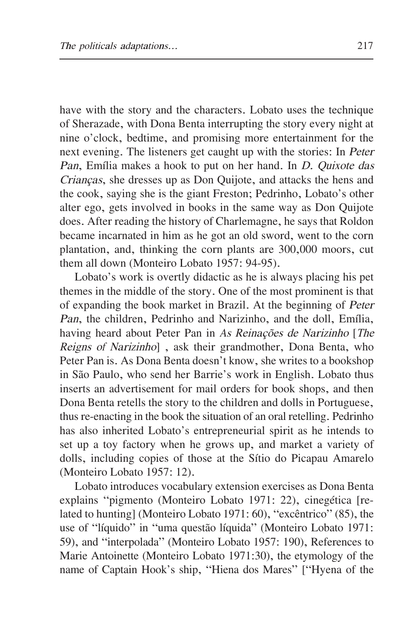have with the story and the characters. Lobato uses the technique of Sherazade, with <sup>D</sup>ona Benta interrupting the story every night at nine o'clock, bedtime, and promising more entertainment for the next evening. The listeners get caught up with the stories: In <sup>P</sup>ete<sup>r</sup> <sup>P</sup>an, Emília makes a hook to put on her hand. In <sup>D</sup>. Quixot<sup>e</sup> <sup>d</sup>a<sup>s</sup> <sup>C</sup>rianças, she dresses up as <sup>D</sup>on Quijote, and attacks the hens and the cook, saying she is the giant Freston; Pedrinho, Lobato's other alter ego, gets involved in books in the same way as <sup>D</sup>on Quijote does. After reading the history of Charlemagne, he says that Roldon became incarnated in him as he got an old sword, went to the corn plantation, and, thinking the corn plants are 300,000 moors, cut them all down (Monteiro Lobato 1957: 94-95).

Lobato's work is overtly didactic as he is always placing his pet themes in the middle of the story. One of the most prominent is that of expanding the book market in Brazil. At the beginning of <sup>P</sup>ete<sup>r</sup> <sup>P</sup>an, the children, Pedrinho and <sup>N</sup>arizinho, and the doll, Emília, having heard about Peter Pan in As Reinações de Narizinho [The <sup>R</sup>eign<sup>s</sup> of <sup>N</sup>arizinho] , ask their grandmother, <sup>D</sup>ona Benta, who Peter Pan is. As <sup>D</sup>ona Benta doesn't know, she writes to a bookshop in São Paulo, who send her Barrie's work in English. Lobato thus inserts an advertisement for mail orders for book shops, and then <sup>D</sup>ona Benta retells the story to the children and dolls in Portuguese, thus re-enacting in the book the situation of an oral retelling. Pedrinho has also inherited Lobato's entrepreneurial spirit as he intends to set up a toy factory when he grows up, and market a variety of dolls, including copies of those at the Sítio do Picapau Amarelo (Monteiro Lobato 1957: 12).

Lobato introduces vocabulary extension exercises as <sup>D</sup>ona Benta explains "pigmento (Monteiro Lobato 1971: 22), cinegética [related to hunting] (Monteiro Lobato 1971: 60), "excêntrico" (85), the use of "líquido" in "uma questão líquida" (Monteiro Lobato 1971: 59), and "interpolada" (Monteiro Lobato 1957: 190), References to Marie Antoinette (Monteiro Lobato 1971:30), the etymology of the name of Captain Hook's ship, "Hiena dos Mares" ["Hyena of the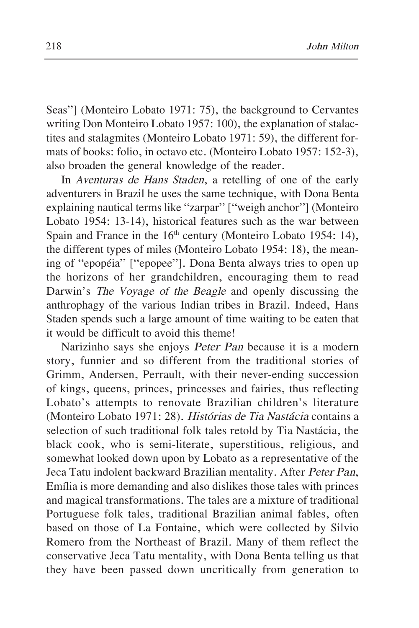Seas"] (Monteiro Lobato 1971: 75), the background to Cervantes writing <sup>D</sup>on Monteiro Lobato 1957: 100), the explanation of stalactites and stalagmites (Monteiro Lobato 1971: 59), the different formats of books: folio, in octavo etc. (Monteiro Lobato 1957: 152-3), also broaden the general knowledge of the reader.

In <sup>A</sup>ventura<sup>s</sup> de <sup>H</sup>an<sup>s</sup> <sup>S</sup>taden, a retelling of one of the early adventurers in Brazil he uses the same technique, with <sup>D</sup>ona Benta explaining nautical terms like "zarpar" ["weigh anchor"] (Monteiro Lobato 1954: 13-14), historical features such as the war between Spain and France in the  $16<sup>th</sup>$  century (Monteiro Lobato 1954: 14), the different types of miles (Monteiro Lobato 1954: 18), the meaning of "epopéia" ["epopee"]. <sup>D</sup>ona Benta always tries to open up the horizons of her grandchildren, encouraging them to read <sup>D</sup>arwin's <sup>T</sup>he <sup>V</sup><sup>o</sup>y<sup>a</sup>ge of <sup>t</sup>he <sup>B</sup>eagl<sup>e</sup> and openly discussing the anthrophagy of the various Indian tribes in Brazil. Indeed, Hans Staden spends such a large amount of time waiting to be eaten that it would be difficult to avoid this theme!

<sup>N</sup>arizinho says she enjoys <sup>P</sup>ete<sup>r</sup> <sup>P</sup>a<sup>n</sup> because it is a modern story, funnier and so different from the traditional stories of Grimm, Andersen, Perrault, with their never-ending succession of kings, queens, princes, princesses and fairies, thus reflecting Lobato's attempts to renovate Brazilian children's literature (Monteiro Lobato 1971: 28). <sup>H</sup>istória<sup>s</sup> de <sup>T</sup>i<sup>a</sup> <sup>N</sup>astáci<sup>a</sup> contains a selection of such traditional folk tales retold by Tia <sup>N</sup>astácia, the black cook, who is semi-literate, superstitious, religious, and somewhat looked down upon by Lobato as a representative of the Jeca Tatu indolent backward Brazilian mentality. After <sup>P</sup>ete<sup>r</sup> <sup>P</sup>an, Emília is more demanding and also dislikes those tales with princes and magical transformations. The tales are a mixture of traditional Portuguese folk tales, traditional Brazilian animal fables, often based on those of La Fontaine, which were collected by Silvio Romero from the <sup>N</sup>ortheast of Brazil. Many of them reflect the conservative Jeca Tatu mentality, with <sup>D</sup>ona Benta telling us that they have been passed down uncritically from generation to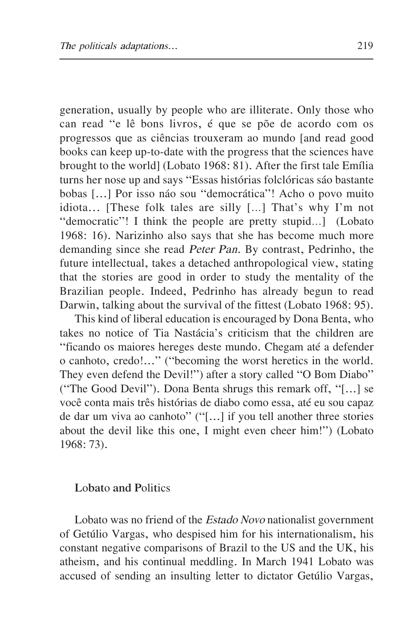generation, usually by people who are illiterate. Only those who can read "e lê bons livros, é que se põe de acordo com os progressos que as ciências trouxeram ao mundo [and read good books can keep up-to-date with the progress that the sciences have brought to the world] (Lobato 1968: 81). After the first tale Emília turns her nose up and says "Essas histórias folclóricas sáo bastante bobas [...] Por isso náo sou "democrática"! Acho o povo muito idiota... [These folk tales are silly […] That's why I'm not "democratic"! I think the people are pretty stupid…] (Lobato 1968: 16). <sup>N</sup>arizinho also says that she has become much more demanding since she read <sup>P</sup>ete<sup>r</sup> <sup>P</sup>an. By contrast, Pedrinho, the future intellectual, takes a detached anthropological view, stating that the stories are good in order to study the mentality of the Brazilian people. Indeed, Pedrinho has already begun to read <sup>D</sup>arwin, talking about the survival of the fittest (Lobato 1968: 95).

This kind of liberal education is encouraged by <sup>D</sup>ona Benta, who takes no notice of Tia <sup>N</sup>astácia's criticism that the children are "ficando os maiores hereges deste mundo. Chegam até a defender o canhoto, credo!..." ("becoming the worst heretics in the world. They even defend the <sup>D</sup>evil!") after a story called "O Bom <sup>D</sup>iabo" ("The Good <sup>D</sup>evil"). <sup>D</sup>ona Benta shrugs this remark off, "[...] se você conta mais três histórias de diabo como essa, até eu sou capaz de dar um viva ao canhoto" ("[...] if you tell another three stories about the devil like this one, I might even cheer him!") (Lobato 1968: 73).

### Lobato and Politics

Lobato was no friend of the <sup>E</sup>stado <sup>N</sup><sup>o</sup>v<sup>o</sup> nationalist government of Getúlio Vargas, who despised him for his internationalism, his constant negative comparisons of Brazil to the <sup>U</sup>S and the <sup>U</sup>K, his atheism, and his continual meddling. In March 1941 Lobato was accused of sending an insulting letter to dictator Getúlio Vargas,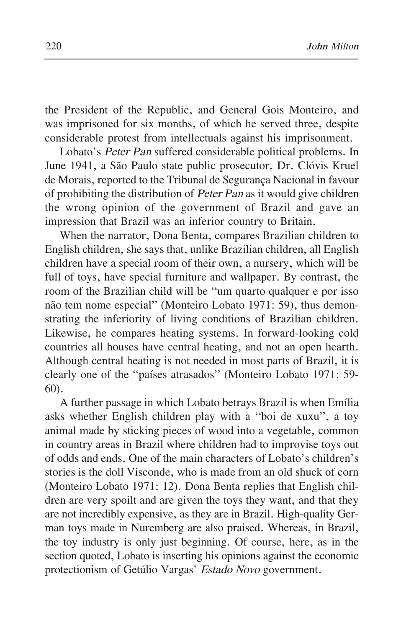the President of the Republic, and General Gois Monteiro, and was imprisoned for six months, of which he served three, despite considerable protest from intellectuals against his imprisonment.

Lobato's <sup>P</sup>ete<sup>r</sup> <sup>P</sup>a<sup>n</sup> suffered considerable political problems. In June 1941, a São Paulo state public prosecutor, <sup>D</sup>r. Clóvis Kruel de Morais, reported to the Tribunal de Segurança <sup>N</sup>acional in favour of prohibiting the distribution of <sup>P</sup>ete<sup>r</sup> <sup>P</sup>a<sup>n</sup> as it would give children the wrong opinion of the government of Brazil and gave an impression that Brazil was an inferior country to Britain.

When the narrator, <sup>D</sup>ona Benta, compares Brazilian children to English children, she says that, unlike Brazilian children, all English children have a special room of their own, a nursery, which will be full of toys, have special furniture and wallpaper. By contrast, the room of the Brazilian child will be "um quarto qualquer e por isso não tem nome especial" (Monteiro Lobato 1971: 59), thus demonstrating the inferiority of living conditions of Brazilian children. Likewise, he compares heating systems. In forward-looking cold countries all houses have central heating, and not an open hearth. Although central heating is not needed in most parts of Brazil, it is clearly one of the "países atrasados" (Monteiro Lobato 1971: 59- 60).

A further passage in which Lobato betrays Brazil is when Emília asks whether English children play with a "boi de xuxu", a toy animal made by sticking pieces of wood into a vegetable, common in country areas in Brazil where children had to improvise toys out of odds and ends. One of the main characters of Lobato's children's stories is the doll Visconde, who is made from an old shuck of corn (Monteiro Lobato 1971: 12). <sup>D</sup>ona Benta replies that English children are very spoilt and are given the toys they want, and that they are not incredibly expensive, as they are in Brazil. High-quality German toys made in <sup>N</sup>uremberg are also praised. Whereas, in Brazil, the toy industry is only just beginning. Of course, here, as in the section quoted, Lobato is inserting his opinions against the economic protectionism of Getúlio Vargas' <sup>E</sup>stado <sup>N</sup><sup>o</sup>v<sup>o</sup> government.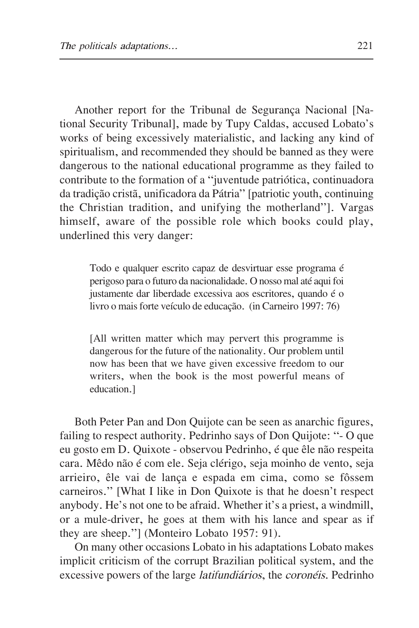Another report for the Tribunal de Segurança <sup>N</sup>acional [National Security Tribunal], made by Tupy Caldas, accused Lobato's works of being excessively materialistic, and lacking any kind of spiritualism, and recommended they should be banned as they were dangerous to the national educational programme as they failed to contribute to the formation of a "juventude patriótica, continuadora da tradição cristã, unificadora da Pátria" [patriotic youth, continuing the Christian tradition, and unifying the motherland"]. Vargas himself, aware of the possible role which books could play, underlined this very danger:

Todo e qualquer escrito capaz de desvirtuar esse programa é perigoso para o futuro da nacionalidade. O nosso mal até aquifoi justamente dar liberdade excessiva aos escritores, quando é o livro o mais forte veículo de educação. (in Carneiro 1997: 76)

[All written matter which may pervert this programme is dangerous for the future of the nationality. Our problem until now has been that we have given excessive freedom to our writers, when the book is the most powerful means of education.]

Both Peter Pan and <sup>D</sup>on Quijote can be seen as anarchic figures, failing to respect authority. Pedrinho says of <sup>D</sup>on Quijote: "- O que eu gosto em D. Quixote - observou Pedrinho, é que êle não respeita cara. Mêdo não é com ele. Seja clérigo, seja moinho de vento, seja arrieiro, êle vai de lança e espada em cima, como se fôssem carneiros." [What I like in <sup>D</sup>on Quixote is that he doesn't respect anybody. He's not one to be afraid. Whether it's a priest, a windmill, or a mule-driver, he goes at them with his lance and spear as if they are sheep."] (Monteiro Lobato 1957: 91).

On many other occasions Lobato in his adaptations Lobato makes implicit criticism of the corrupt Brazilian political system, and the excessive powers of the large <sup>l</sup>atifundiários, the coronéis. Pedrinho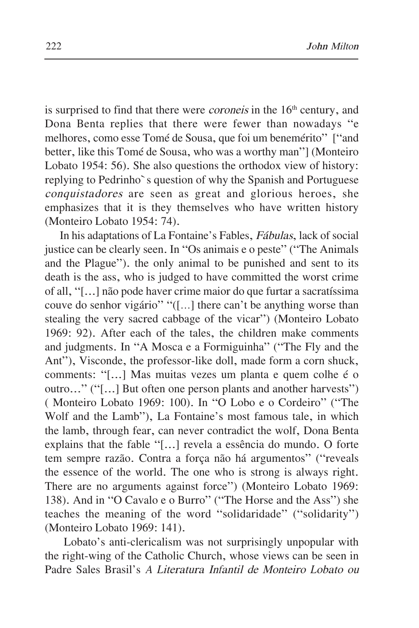is surprised to find that there were *coroneis* in the  $16<sup>th</sup>$  century, and <sup>D</sup>ona Benta replies that there were fewer than nowadays "e melhores, como esse Tomé de Sousa, que foi um benemérito" ["and better, like this Tomé de Sousa, who was a worthy man"] (Monteiro Lobato 1954: 56). She also questions the orthodox view of history: replying to Pedrinho`s question of why the Spanish and Portuguese conquistadore<sup>s</sup> are seen as great and glorious heroes, she emphasizes that it is they themselves who have written history (Monteiro Lobato 1954: 74).

In his adaptations of La Fontaine's Fables, <sup>F</sup>ábulas, lack of social justice can be clearly seen. In "Os animais e o peste" ("The Animals and the Plague"). the only animal to be punished and sent to its death is the ass, who is judged to have committed the worst crime of all, "[...] não pode haver crime maior do que furtar a sacratíssima couve do senhor vigário" "([…] there can't be anything worse than stealing the very sacred cabbage of the vicar") (Monteiro Lobato 1969: 92). After each of the tales, the children make comments and judgments. In "A Mosca e a Formiguinha" ("The Fly and the Ant"), Visconde, the professor-like doll, made form a corn shuck, comments: "[...] Mas muitas vezes um planta e quem colhe é o outro..." ("[...] But often one person plants and another harvests") ( Monteiro Lobato 1969: 100). In "O Lobo e o Cordeiro" ("The Wolf and the Lamb"), La Fontaine's most famous tale, in which the lamb, through fear, can never contradict the wolf, <sup>D</sup>ona Benta explains that the fable "[...] revela a essência do mundo. O forte tem sempre razão. Contra a força não há argumentos" ("reveals the essence of the world. The one who is strong is always right. There are no arguments against force") (Monteiro Lobato 1969: 138). And in "O Cavalo e o Burro" ("The Horse and the Ass") she teaches the meaning of the word "solidaridade" ("solidarity") (Monteiro Lobato 1969: 141).

Lobato's anti-clericalism was not surprisingly unpopular with the right-wing of the Catholic Church, whose views can be seen in Padre Sales Brasil's <sup>A</sup> <sup>L</sup>iteratur<sup>a</sup> <sup>I</sup>nfantil de <sup>M</sup>onteir<sup>o</sup> <sup>L</sup>obat<sup>o</sup> ou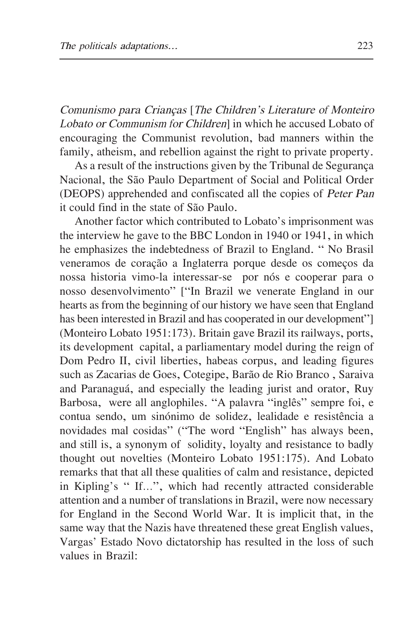<sup>C</sup>omunism<sup>o</sup> <sup>p</sup>ar<sup>a</sup> <sup>C</sup>riança<sup>s</sup> [The <sup>C</sup>hildren'<sup>s</sup> <sup>L</sup>iteratur<sup>e</sup> of <sup>M</sup>onteir<sup>o</sup> Lobato or Communism for Children] in which he accused Lobato of encouraging the Communist revolution, bad manners within the family, atheism, and rebellion against the right to private property.

As a result of the instructions given by the Tribunal de Segurança <sup>N</sup>acional, the São Paulo <sup>D</sup>epartment of Social and Political Order (DEOPS) apprehended and confiscated all the copies of <sup>P</sup>ete<sup>r</sup> <sup>P</sup>a<sup>n</sup> it could find in the state of São Paulo.

Another factor which contributed to Lobato's imprisonment was the interview he gave to the BBC London in 1940 or 1941, in which he emphasizes the indebtedness of Brazil to England. " <sup>N</sup>o Brasil veneramos de coração a Inglaterra porque desde os começos da nossa historia vimo-la interessar-se por nós e cooperar para o nosso desenvolvimento" ["In Brazil we venerate England in our hearts as from the beginning of our history we have seen that England has been interested in Brazil and has cooperated in our development" (Monteiro Lobato 1951:173). Britain gave Brazil its railways, ports, its development capital, a parliamentary model during the reign of <sup>D</sup>om Pedro II, civil liberties, habeas corpus, and leading figures such as Zacarias de Goes, Cotegipe, Barão de Rio Branco , Saraiva and Paranaguá, and especially the leading jurist and orator, Ruy Barbosa, were all anglophiles. "A palavra "inglês" sempre foi, e contua sendo, um sinónimo de solidez, lealidade e resistência a novidades mal cosidas" ("The word "English" has always been, and still is, a synonym of solidity, loyalty and resistance to badly thought out novelties (Monteiro Lobato 1951:175). And Lobato remarks that that all these qualities of calm and resistance, depicted in Kipling's " If…", which had recently attracted considerable attention and a number of translations in Brazil, were now necessary for England in the Second World War. It is implicit that, in the same way that the <sup>N</sup>azis have threatened these great English values, Vargas' Estado <sup>N</sup>ovo dictatorship has resulted in the loss of such values in Brazil: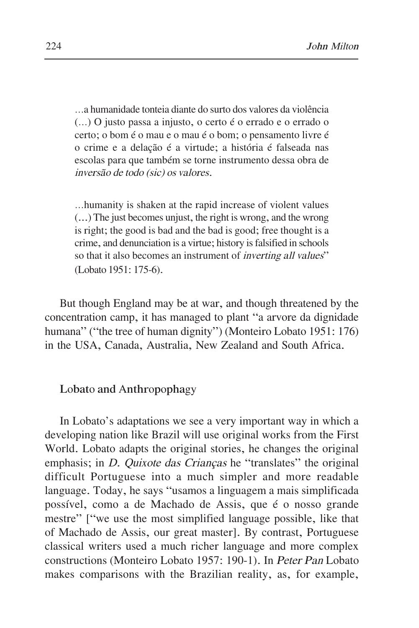…a humanidade tonteia diante do surto dos valores da violência (…) O justo passa a injusto, o certo é o errado e o errado o certo; o bom é o mau e o mau é o bom; o pensamento livre é o crime e a delação é a virtude; a história é falseada nas escolas para que também se torne instrumento dessa obra de inversã<sup>o</sup> de todo (sic) <sup>o</sup><sup>s</sup> <sup>v</sup><sup>a</sup>lores.

…humanity is shaken at the rapid increase of violent values (...) The just becomes unjust, the right is wrong, and the wrong is right; the good is bad and the bad is good; free thought is a crime, and denunciation is a virtue; history isfalsified in schools so that it also becomes an instrument of *inverting all values*" (Lobato 1951: 175-6).

But though England may be at war, and though threatened by the concentration camp, it has managed to plant "a arvore da dignidade humana" ("the tree of human dignity") (Monteiro Lobato 1951: 176) in the <sup>U</sup>SA, Canada, Australia, <sup>N</sup>ew Zealand and South Africa.

## Lobato and Anthropophagy

In Lobato's adaptations we see a very important way in which a developing nation like Brazil will use original works from the First World. Lobato adapts the original stories, he changes the original emphasis; in *D. Quixote das Crianças* he "translates" the original difficult Portuguese into a much simpler and more readable language. Today, he says "usamos a linguagem a mais simplificada possível, como a de Machado de Assis, que é o nosso grande mestre" ["we use the most simplified language possible, like that of Machado de Assis, our great master]. By contrast, Portuguese classical writers used a much richer language and more complex constructions (Monteiro Lobato 1957: 190-1). In <sup>P</sup>ete<sup>r</sup> <sup>P</sup>a<sup>n</sup> Lobato makes comparisons with the Brazilian reality, as, for example,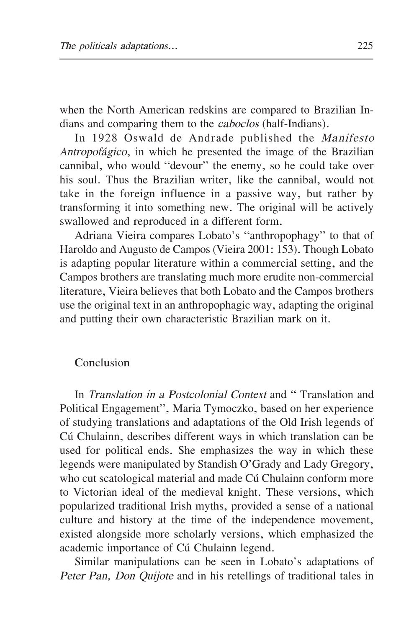when the <sup>N</sup>orth American redskins are compared to Brazilian Indians and comparing them to the <sup>c</sup>aboclo<sup>s</sup> (half-Indians).

In 1928 Oswald de Andrade published the <sup>M</sup>anifest<sup>o</sup> <sup>A</sup>ntropofágico, in which he presented the image of the Brazilian cannibal, who would "devour" the enemy, so he could take over his soul. Thus the Brazilian writer, like the cannibal, would not take in the foreign influence in a passive way, but rather by transforming it into something new. The original will be actively swallowed and reproduced in a different form.

Adriana Vieira compares Lobato's "anthropophagy" to that of Haroldo and Augusto de Campos (Vieira 2001: 153). Though Lobato is adapting popular literature within a commercial setting, and the Campos brothers are translating much more erudite non-commercial literature, Vieira believes that both Lobato and the Campos brothers use the original text in an anthropophagic way, adapting the original and putting their own characteristic Brazilian mark on it.

# Conclusion

In *Translation in a Postcolonial Context* and "Translation and Political Engagement", Maria Tymoczko, based on her experience of studying translations and adaptations of the Old Irish legends of Cú Chulainn, describes different ways in which translation can be used for political ends. She emphasizes the way in which these legends were manipulated by Standish O'Grady and Lady Gregory, who cut scatological material and made Cú Chulainn conform more to Victorian ideal of the medieval knight. These versions, which popularized traditional Irish myths, provided a sense of a national culture and history at the time of the independence movement, existed alongside more scholarly versions, which emphasized the academic importance of Cú Chulainn legend.

Similar manipulations can be seen in Lobato's adaptations of Peter Pan, Don Quijote and in his retellings of traditional tales in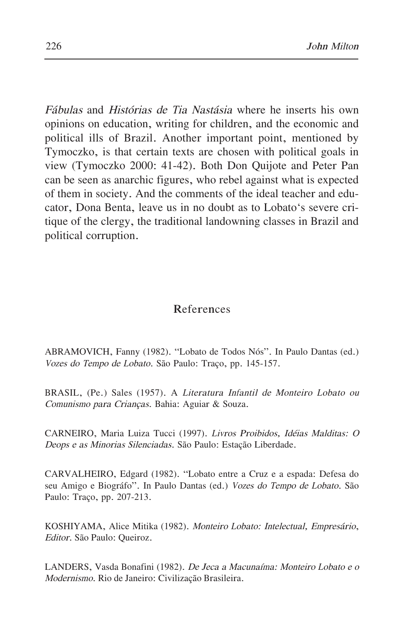<sup>F</sup>ábula<sup>s</sup> and <sup>H</sup>istória<sup>s</sup> de <sup>T</sup>i<sup>a</sup> <sup>N</sup>astási<sup>a</sup> where he inserts his own opinions on education, writing for children, and the economic and political ills of Brazil. Another important point, mentioned by Tymoczko, is that certain texts are chosen with political goals in view (Tymoczko 2000: 41-42). Both <sup>D</sup>on Quijote and Peter Pan can be seen as anarchic figures, who rebel against what is expected of them in society. And the comments of the ideal teacher and educator, <sup>D</sup>ona Benta, leave us in no doubt as to Lobato's severe critique of the clergy, the traditional landowning classes in Brazil and political corruption.

## References

ABRAMOVICH, Fanny (1982). "Lobato de Todos <sup>N</sup>ós". In Paulo <sup>D</sup>antas (ed.) <sup>V</sup><sup>o</sup>ze<sup>s</sup> do <sup>T</sup>empo <sup>d</sup><sup>e</sup> Lobato. São Paulo: Traço, pp. 145-157.

BRASIL, (Pe.) Sales (1957). A Literatur<sup>a</sup> Infantil <sup>d</sup><sup>e</sup> Monteir<sup>o</sup> Lobato ou <sup>C</sup>omunism<sup>o</sup> <sup>p</sup>ar<sup>a</sup> <sup>C</sup>rianças. Bahia: Aguiar & Souza.

CARNEIRO, Maria Luiza Tucci (1997). Livro<sup>s</sup> <sup>P</sup>roibido<sup>s</sup>, Idéia<sup>s</sup> <sup>M</sup>alditas: <sup>O</sup> <sup>D</sup>eop<sup>s</sup> <sup>e</sup> <sup>a</sup><sup>s</sup> Minoria<sup>s</sup> <sup>S</sup>ilenciadas. São Paulo: Estação Liberdade.

CARVALHEIRO, Edgard (1982). "Lobato entre a Cruz e a espada: <sup>D</sup>efesa do seu Amigo e Biográfo". In Paulo <sup>D</sup>antas (ed.) <sup>V</sup><sup>o</sup>ze<sup>s</sup> do <sup>T</sup>empo <sup>d</sup><sup>e</sup> Lobato. São Paulo: Traço, pp. 207-213.

KOSHIYAMA, Alice Mitika (1982). Monteir<sup>o</sup> Lobato: Intelectual, <sup>E</sup>mpresário, <sup>E</sup>ditor. São Paulo: Queiroz.

LANDERS, Vasda Bonafini (1982). <sup>D</sup><sup>e</sup> <sup>J</sup>ec<sup>a</sup> <sup>a</sup> <sup>M</sup>acunaíma: Monteir<sup>o</sup> Lobato <sup>e</sup> <sup>o</sup> Modernismo. Rio de Janeiro: Civilização Brasileira.